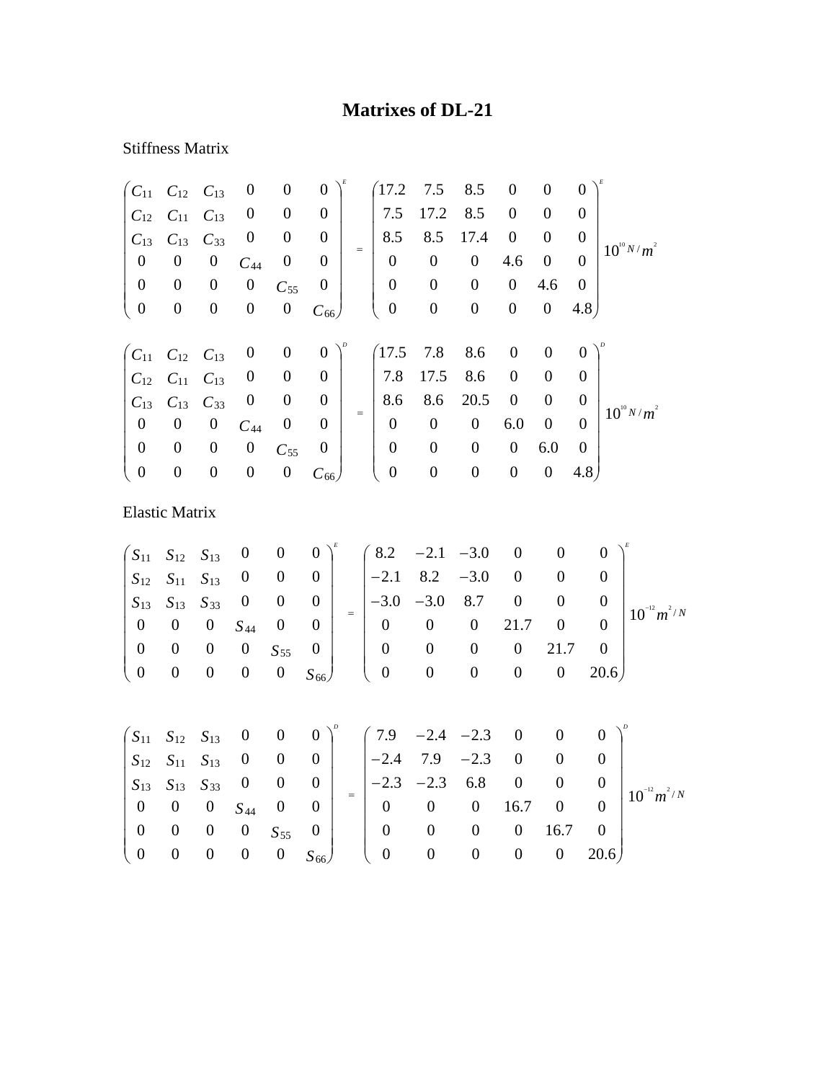## **Matrixes of DL-21**

## Stiffness Matrix

|                       | $C_{11}$ $C_{12}$ $C_{13}$ |                  | $\boldsymbol{0}$ | $\boldsymbol{0}$ | $\boldsymbol{0}$ |     | 17.2             | 7.5              | 8.5              | $\boldsymbol{0}$ | $\boldsymbol{0}$ | $\boldsymbol{0}$ |                 |
|-----------------------|----------------------------|------------------|------------------|------------------|------------------|-----|------------------|------------------|------------------|------------------|------------------|------------------|-----------------|
| $C_{12}$              | $C_{11}$                   | $C_{13}$         | $\boldsymbol{0}$ | $\boldsymbol{0}$ | $\boldsymbol{0}$ |     | 7.5              | 17.2             | 8.5              | $\boldsymbol{0}$ | $\boldsymbol{0}$ | $\theta$         |                 |
| $C_{13}$              | $C_{13}$                   | $C_{33}$         | $\boldsymbol{0}$ | $\boldsymbol{0}$ | $\boldsymbol{0}$ |     | 8.5              | 8.5              | 17.4             | $\boldsymbol{0}$ | $\boldsymbol{0}$ | $\boldsymbol{0}$ | $10^{10} N/m^2$ |
| $\boldsymbol{0}$      | $\boldsymbol{0}$           | $\boldsymbol{0}$ | $C_{44}$         | $\boldsymbol{0}$ | $\boldsymbol{0}$ | $=$ | $\overline{0}$   | $\boldsymbol{0}$ | $\boldsymbol{0}$ | 4.6              | $\boldsymbol{0}$ | $\theta$         |                 |
| $\boldsymbol{0}$      | $\boldsymbol{0}$           | $\boldsymbol{0}$ | $\boldsymbol{0}$ | $C_{55}$         | $\boldsymbol{0}$ |     | $\boldsymbol{0}$ | $\boldsymbol{0}$ | $\boldsymbol{0}$ | $\boldsymbol{0}$ | 4.6              | $\boldsymbol{0}$ |                 |
| $\boldsymbol{0}$      | $\boldsymbol{0}$           | $\boldsymbol{0}$ | $\boldsymbol{0}$ | $\boldsymbol{0}$ | $C_{66}$         |     | $\boldsymbol{0}$ | $\boldsymbol{0}$ | $\boldsymbol{0}$ | $\boldsymbol{0}$ | $\boldsymbol{0}$ | 4.8              |                 |
|                       |                            |                  |                  |                  |                  |     |                  |                  |                  |                  |                  |                  |                 |
| $\mathcal{C}_{11}$    | $C_{12}$                   | $C_{13}$         | $\boldsymbol{0}$ | $\boldsymbol{0}$ | $\boldsymbol{0}$ |     | (17.5)           | 7.8              | 8.6              | $\boldsymbol{0}$ | $\boldsymbol{0}$ | $\overline{0}$   |                 |
| $C_{12}$              | $C_{11}$                   | $C_{13}$         | $\boldsymbol{0}$ | $\theta$         | $\mathbf{0}$     |     | 7.8              | 17.5             | 8.6              | $\overline{0}$   | $\overline{0}$   | $\overline{0}$   |                 |
| $C_{13}$              | $C_{13}$                   | $C_{33}$         | $\boldsymbol{0}$ | $\boldsymbol{0}$ | $\boldsymbol{0}$ |     | 8.6              | 8.6              | 20.5             | $\boldsymbol{0}$ | $\boldsymbol{0}$ | $\overline{0}$   | $10^{10} N/m^2$ |
| $\boldsymbol{0}$      | $\boldsymbol{0}$           | $\boldsymbol{0}$ | $C_{44}$         | $\boldsymbol{0}$ | $\boldsymbol{0}$ | $=$ | $\boldsymbol{0}$ | $\boldsymbol{0}$ | $\boldsymbol{0}$ | 6.0              | $\boldsymbol{0}$ | $\theta$         |                 |
| $\boldsymbol{0}$      | $\boldsymbol{0}$           | $\boldsymbol{0}$ | $\boldsymbol{0}$ | $C_{55}$         | $\boldsymbol{0}$ |     | $\boldsymbol{0}$ | $\boldsymbol{0}$ | $\boldsymbol{0}$ | $\boldsymbol{0}$ | 6.0              | $\overline{0}$   |                 |
| $\boldsymbol{0}$      | $\boldsymbol{0}$           | $\boldsymbol{0}$ | $\boldsymbol{0}$ | $\boldsymbol{0}$ | $C_{66}$         |     | $\boldsymbol{0}$ | $\boldsymbol{0}$ | $\boldsymbol{0}$ | $\boldsymbol{0}$ | $\boldsymbol{0}$ | 4.8)             |                 |
|                       |                            |                  |                  |                  |                  |     |                  |                  |                  |                  |                  |                  |                 |
| <b>Elastic Matrix</b> |                            |                  |                  |                  |                  |     |                  |                  |                  |                  |                  |                  |                 |
|                       |                            |                  |                  |                  |                  |     |                  |                  |                  |                  |                  |                  |                 |

|  |  |                                                               |                                                                                        |          | $\begin{pmatrix} S_{11} & S_{12} & S_{13} & 0 & 0 & 0 \end{pmatrix}^k$ $\begin{pmatrix} 8.2 & -2.1 & -3.0 & 0 & 0 & 0 \end{pmatrix}^k$ |  |          |                  |
|--|--|---------------------------------------------------------------|----------------------------------------------------------------------------------------|----------|----------------------------------------------------------------------------------------------------------------------------------------|--|----------|------------------|
|  |  |                                                               |                                                                                        |          | $ S_{12} S_{11} S_{13} 0 0 0  $ $ -2.1 8.2 -3.0 0 0$                                                                                   |  |          |                  |
|  |  |                                                               |                                                                                        |          | $\begin{vmatrix} S_{13} & S_{13} & S_{33} & 0 & 0 & 0 \end{vmatrix}$ = $\begin{vmatrix} -3.0 & -3.0 & 8.7 & 0 \end{vmatrix}$           |  | $\theta$ | $10^{-12} m^2/N$ |
|  |  | $\begin{array}{ ccc } 0 & 0 & 0 & S_{44} & 0 & 0 \end{array}$ |                                                                                        |          | $\begin{bmatrix} 0 & 0 & 0 & 21.7 & 0 & 0 \end{bmatrix}$                                                                               |  |          |                  |
|  |  |                                                               | $\begin{array}{ ccc c c c c c c c c } \hline 0 & 0 & 0 & 0 & S_{55} & 0 & \end{array}$ | $\bf{0}$ | $0 \t 0 \t 0 \t 21.7 \t 0$                                                                                                             |  |          |                  |
|  |  |                                                               |                                                                                        |          | $\begin{pmatrix} 0 & 0 & 0 & 0 & 0 & S_{66} \end{pmatrix}$ $\begin{pmatrix} 0 & 0 & 0 & 0 & 0 & 20.6 \end{pmatrix}$                    |  |          |                  |
|  |  |                                                               |                                                                                        |          |                                                                                                                                        |  |          |                  |

|                                           |  |  |  |                                                                         | $\begin{pmatrix} S_{11} & S_{12} & S_{13} & 0 & 0 & 0 \end{pmatrix}^p$ $\begin{pmatrix} 7.9 & -2.4 & -2.3 & 0 & 0 & 0 \end{pmatrix}^p$                                                                                                                                                           |                    |             |  |                   |
|-------------------------------------------|--|--|--|-------------------------------------------------------------------------|--------------------------------------------------------------------------------------------------------------------------------------------------------------------------------------------------------------------------------------------------------------------------------------------------|--------------------|-------------|--|-------------------|
|                                           |  |  |  |                                                                         | $\begin{vmatrix} S_{12} & S_{11} & S_{13} & 0 & 0 & 0 \end{vmatrix}$ $\begin{vmatrix} -2.4 & 7.9 & -2.3 \end{vmatrix}$                                                                                                                                                                           | $\overline{0}$     |             |  | $ 10^{-12}m^2/N $ |
|                                           |  |  |  |                                                                         | $S_{13}$ $S_{13}$ $S_{33}$ 0 0 0 $\Big $ $\Big $ $\Big $ $\Big $ $\Big $ $\Big $ $\Big $ $\Big $ $\Big $ $\Big $ $\Big $ $\Big $ $\Big $ $\Big $ $\Big $ $\Big $ $\Big $ $\Big $ $\Big $ $\Big $ $\Big $ $\Big $ $\Big $ $\Big $ $\Big $ $\Big $ $\Big $ $\Big $ $\Big $ $\Big $ $\Big $ $\Big $ |                    |             |  |                   |
|                                           |  |  |  | $\begin{array}{ccccccccccccc}\n0 & 0 & 0 & 0 & S_{55} & 0\n\end{array}$ |                                                                                                                                                                                                                                                                                                  |                    |             |  |                   |
|                                           |  |  |  |                                                                         | $0\qquad 0$                                                                                                                                                                                                                                                                                      | $\hspace{0.1em} 0$ | $16.7 \t 0$ |  |                   |
| $\begin{pmatrix} 0 & 0 & 0 \end{pmatrix}$ |  |  |  |                                                                         | $0 S_{66}$ ( 0 0 0 0 0 20.6)                                                                                                                                                                                                                                                                     |                    |             |  |                   |